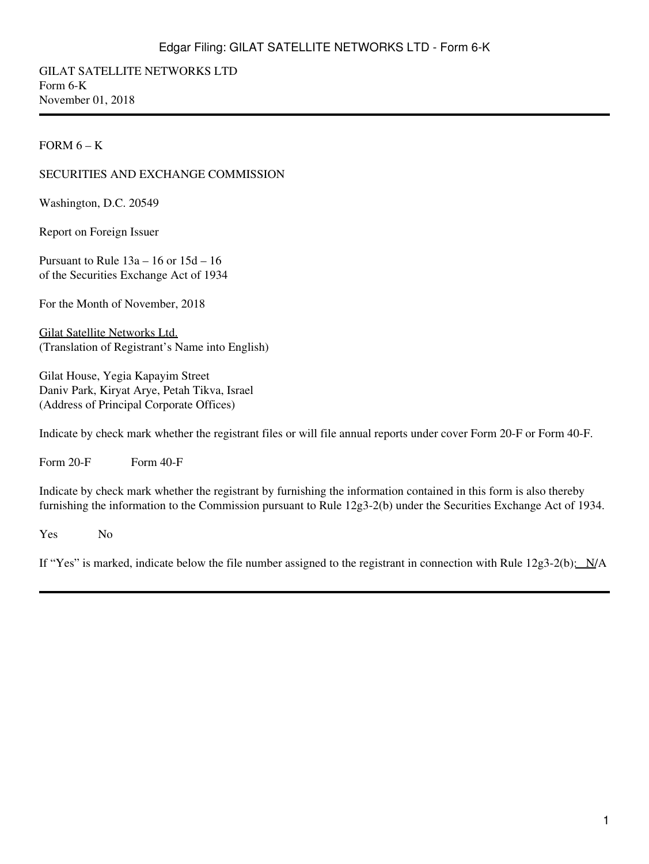GILAT SATELLITE NETWORKS LTD Form 6-K November 01, 2018

#### FORM  $6 - K$

### SECURITIES AND EXCHANGE COMMISSION

Washington, D.C. 20549

Report on Foreign Issuer

Pursuant to Rule 13a – 16 or 15d – 16 of the Securities Exchange Act of 1934

For the Month of November, 2018

Gilat Satellite Networks Ltd. (Translation of Registrant's Name into English)

Gilat House, Yegia Kapayim Street Daniv Park, Kiryat Arye, Petah Tikva, Israel (Address of Principal Corporate Offices)

Indicate by check mark whether the registrant files or will file annual reports under cover Form 20-F or Form 40-F.

Form  $20-F$  Form  $40-F$ 

Indicate by check mark whether the registrant by furnishing the information contained in this form is also thereby furnishing the information to the Commission pursuant to Rule 12g3-2(b) under the Securities Exchange Act of 1934.

Yes No

If "Yes" is marked, indicate below the file number assigned to the registrant in connection with Rule  $12g3-2(b)$ :  $N/A$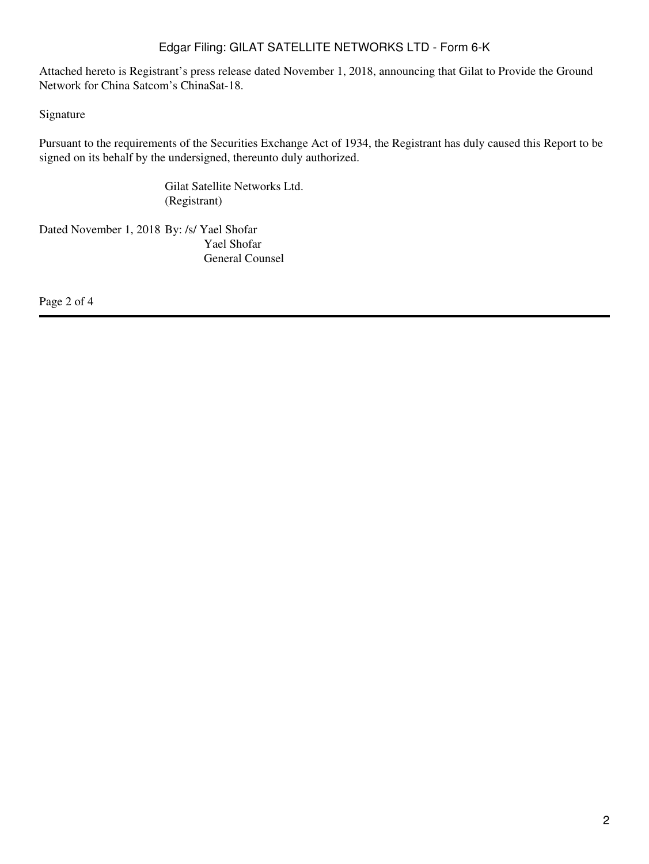Attached hereto is Registrant's press release dated November 1, 2018, announcing that Gilat to Provide the Ground Network for China Satcom's ChinaSat-18.

### Signature

Pursuant to the requirements of the Securities Exchange Act of 1934, the Registrant has duly caused this Report to be signed on its behalf by the undersigned, thereunto duly authorized.

> Gilat Satellite Networks Ltd. (Registrant)

Dated November 1, 2018 By: /s/ Yael Shofar Yael Shofar General Counsel

Page 2 of 4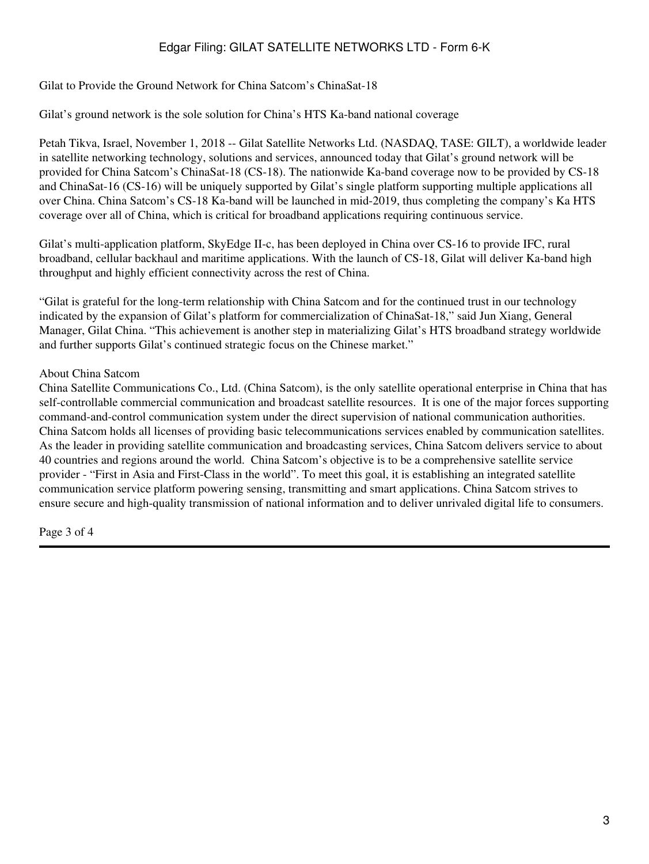### Gilat to Provide the Ground Network for China Satcom's ChinaSat-18

Gilat's ground network is the sole solution for China's HTS Ka-band national coverage

Petah Tikva, Israel, November 1, 2018 -- Gilat Satellite Networks Ltd. (NASDAQ, TASE: GILT), a worldwide leader in satellite networking technology, solutions and services, announced today that Gilat's ground network will be provided for China Satcom's ChinaSat-18 (CS-18). The nationwide Ka-band coverage now to be provided by CS-18 and ChinaSat-16 (CS-16) will be uniquely supported by Gilat's single platform supporting multiple applications all over China. China Satcom's CS-18 Ka-band will be launched in mid-2019, thus completing the company's Ka HTS coverage over all of China, which is critical for broadband applications requiring continuous service.

Gilat's multi-application platform, SkyEdge II-c, has been deployed in China over CS-16 to provide IFC, rural broadband, cellular backhaul and maritime applications. With the launch of CS-18, Gilat will deliver Ka-band high throughput and highly efficient connectivity across the rest of China.

"Gilat is grateful for the long-term relationship with China Satcom and for the continued trust in our technology indicated by the expansion of Gilat's platform for commercialization of ChinaSat-18," said Jun Xiang, General Manager, Gilat China. "This achievement is another step in materializing Gilat's HTS broadband strategy worldwide and further supports Gilat's continued strategic focus on the Chinese market."

### About China Satcom

China Satellite Communications Co., Ltd. (China Satcom), is the only satellite operational enterprise in China that has self-controllable commercial communication and broadcast satellite resources. It is one of the major forces supporting command-and-control communication system under the direct supervision of national communication authorities. China Satcom holds all licenses of providing basic telecommunications services enabled by communication satellites. As the leader in providing satellite communication and broadcasting services, China Satcom delivers service to about 40 countries and regions around the world. China Satcom's objective is to be a comprehensive satellite service provider - "First in Asia and First-Class in the world". To meet this goal, it is establishing an integrated satellite communication service platform powering sensing, transmitting and smart applications. China Satcom strives to ensure secure and high-quality transmission of national information and to deliver unrivaled digital life to consumers.

Page 3 of 4